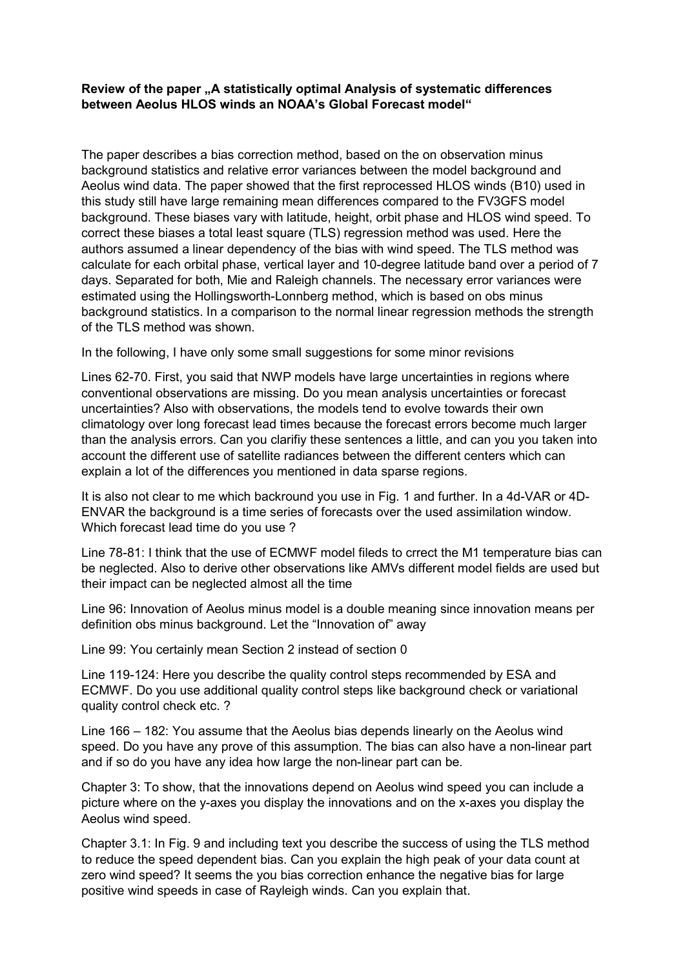## Review of the paper .. A statistically optimal Analysis of systematic differences between Aeolus HLOS winds an NOAA's Global Forecast model"

The paper describes a bias correction method, based on the on observation minus background statistics and relative error variances between the model background and Aeolus wind data. The paper showed that the first reprocessed HLOS winds (B10) used in this study still have large remaining mean differences compared to the FV3GFS model background. These biases vary with latitude, height, orbit phase and HLOS wind speed. To correct these biases a total least square (TLS) regression method was used. Here the authors assumed a linear dependency of the bias with wind speed. The TLS method was calculate for each orbital phase, vertical layer and 10-degree latitude band over a period of 7 days. Separated for both, Mie and Raleigh channels. The necessary error variances were estimated using the Hollingsworth-Lonnberg method, which is based on obs minus background statistics. In a comparison to the normal linear regression methods the strength of the TLS method was shown.

In the following, I have only some small suggestions for some minor revisions

Lines 62-70. First, you said that NWP models have large uncertainties in regions where conventional observations are missing. Do you mean analysis uncertainties or forecast uncertainties? Also with observations, the models tend to evolve towards their own climatology over long forecast lead times because the forecast errors become much larger than the analysis errors. Can you clarifiy these sentences a little, and can you you taken into account the different use of satellite radiances between the different centers which can explain a lot of the differences you mentioned in data sparse regions.

It is also not clear to me which backround you use in Fig. 1 and further. In a 4d-VAR or 4D-ENVAR the background is a time series of forecasts over the used assimilation window. Which forecast lead time do you use ?

Line 78-81: I think that the use of ECMWF model fileds to crrect the M1 temperature bias can be neglected. Also to derive other observations like AMVs different model fields are used but their impact can be neglected almost all the time

Line 96: Innovation of Aeolus minus model is a double meaning since innovation means per definition obs minus background. Let the "Innovation of" away

Line 99: You certainly mean Section 2 instead of section 0

Line 119-124: Here you describe the quality control steps recommended by ESA and ECMWF. Do you use additional quality control steps like background check or variational quality control check etc. ?

Line 166 – 182: You assume that the Aeolus bias depends linearly on the Aeolus wind speed. Do you have any prove of this assumption. The bias can also have a non-linear part and if so do you have any idea how large the non-linear part can be.

Chapter 3: To show, that the innovations depend on Aeolus wind speed you can include a picture where on the y-axes you display the innovations and on the x-axes you display the Aeolus wind speed.

Chapter 3.1: In Fig. 9 and including text you describe the success of using the TLS method to reduce the speed dependent bias. Can you explain the high peak of your data count at zero wind speed? It seems the you bias correction enhance the negative bias for large positive wind speeds in case of Rayleigh winds. Can you explain that.